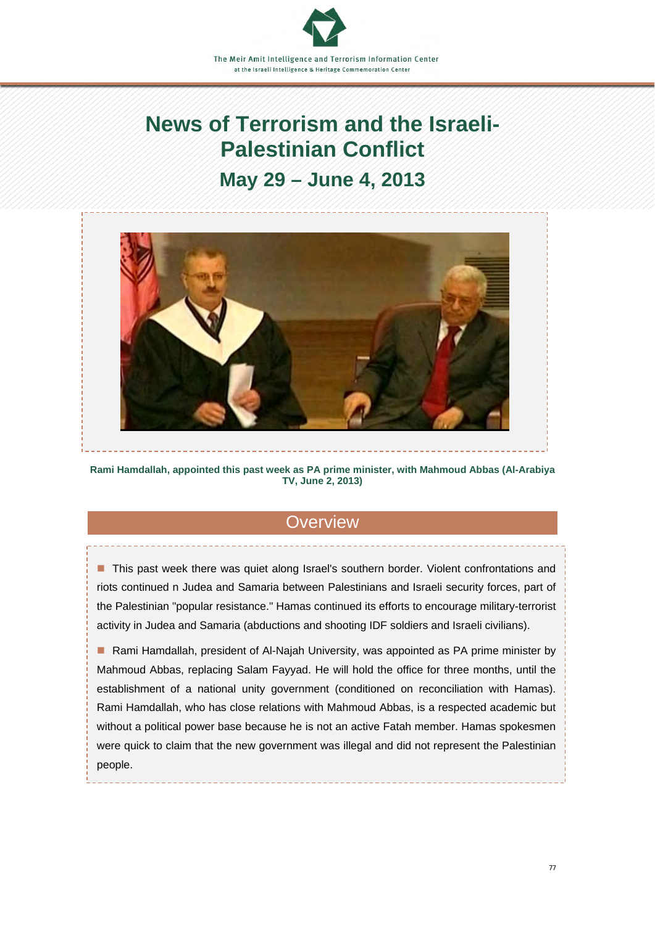# **News of Terrorism and the Israeli-Palestinian Conflict**

## **May 29 – June 4, 2013**



**Rami Hamdallah, appointed this past week as PA prime minister, with Mahmoud Abbas (Al-Arabiya TV, June 2, 2013)** 

## **Overview**

■ This past week there was quiet along Israel's southern border. Violent confrontations and riots continued n Judea and Samaria between Palestinians and Israeli security forces, part of the Palestinian "popular resistance." Hamas continued its efforts to encourage military-terrorist activity in Judea and Samaria (abductions and shooting IDF soldiers and Israeli civilians).

■ Rami Hamdallah, president of Al-Najah University, was appointed as PA prime minister by Mahmoud Abbas, replacing Salam Fayyad. He will hold the office for three months, until the establishment of a national unity government (conditioned on reconciliation with Hamas). Rami Hamdallah, who has close relations with Mahmoud Abbas, is a respected academic but without a political power base because he is not an active Fatah member. Hamas spokesmen were quick to claim that the new government was illegal and did not represent the Palestinian people.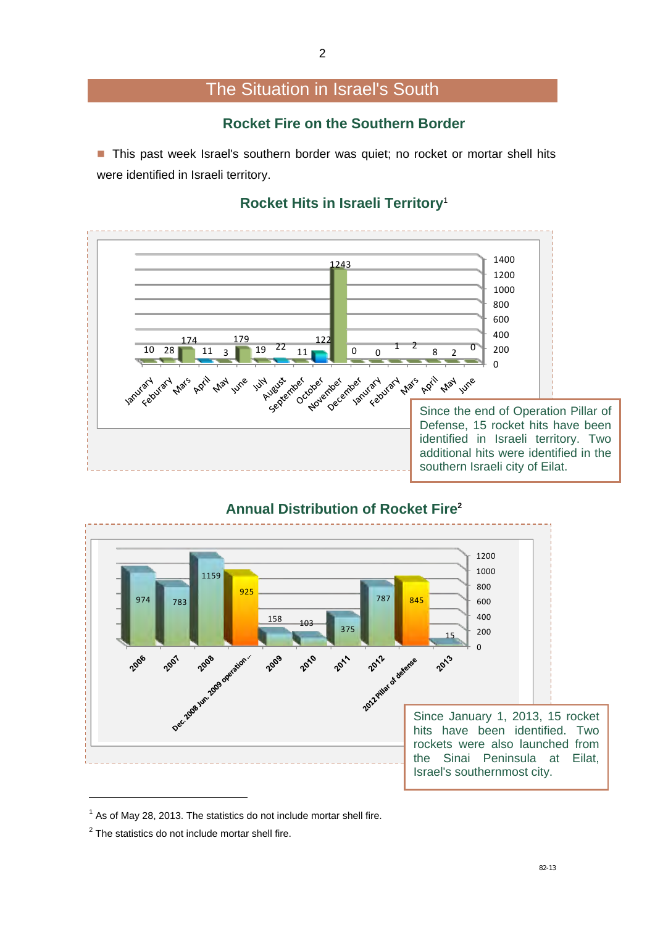## The Situation in Israel's South

### **Rocket Fire on the Southern Border**

■ This past week Israel's southern border was quiet; no rocket or mortar shell hits were identified in Israeli territory.

#### **Rocket Hits in Israeli Territory**<sup>1</sup>





## **Annual Distribution of Rocket Fire2**

As of May 28, 2013. The statistics do not include mortar shell fire.

The statistics do not include mortar shell fire.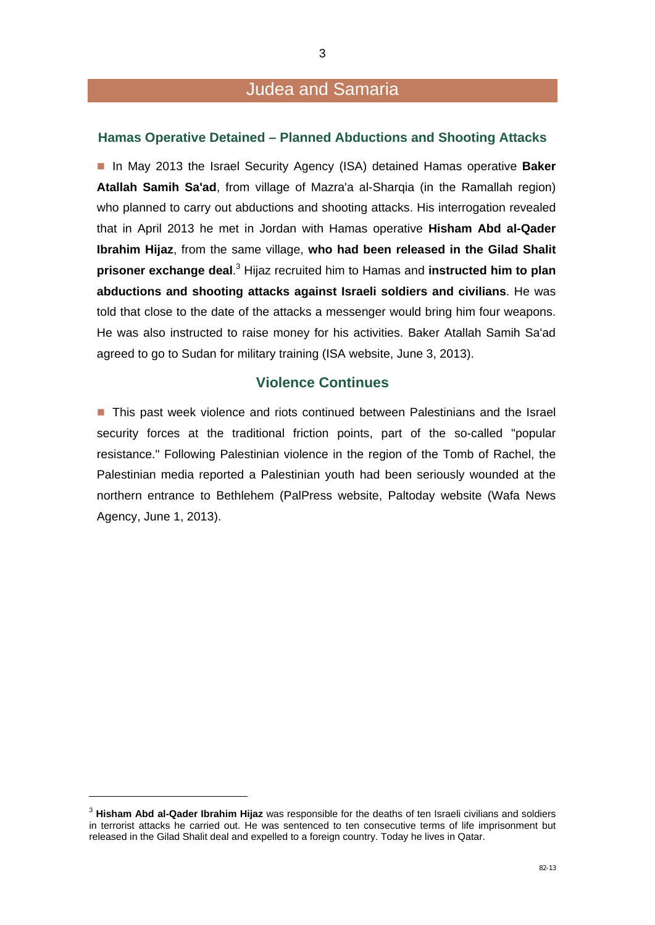## Judea and Samaria

#### **Hamas Operative Detained – Planned Abductions and Shooting Attacks**

■ In May 2013 the Israel Security Agency (ISA) detained Hamas operative **Baker Atallah Samih Sa'ad**, from village of Mazra'a al-Sharqia (in the Ramallah region) who planned to carry out abductions and shooting attacks. His interrogation revealed that in April 2013 he met in Jordan with Hamas operative **Hisham Abd al-Qader Ibrahim Hijaz**, from the same village, **who had been released in the Gilad Shalit prisoner exchange deal.**<sup>3</sup> Hijaz recruited him to Hamas and **instructed him to plan abductions and shooting attacks against Israeli soldiers and civilians**. He was told that close to the date of the attacks a messenger would bring him four weapons. He was also instructed to raise money for his activities. Baker Atallah Samih Sa'ad agreed to go to Sudan for military training (ISA website, June 3, 2013).

#### **Violence Continues**

**This past week violence and riots continued between Palestinians and the Israel** security forces at the traditional friction points, part of the so-called "popular resistance." Following Palestinian violence in the region of the Tomb of Rachel, the Palestinian media reported a Palestinian youth had been seriously wounded at the northern entrance to Bethlehem (PalPress website, Paltoday website (Wafa News Agency, June 1, 2013).

1

<sup>3</sup> **Hisham Abd al-Qader Ibrahim Hijaz** was responsible for the deaths of ten Israeli civilians and soldiers in terrorist attacks he carried out. He was sentenced to ten consecutive terms of life imprisonment but released in the Gilad Shalit deal and expelled to a foreign country. Today he lives in Qatar.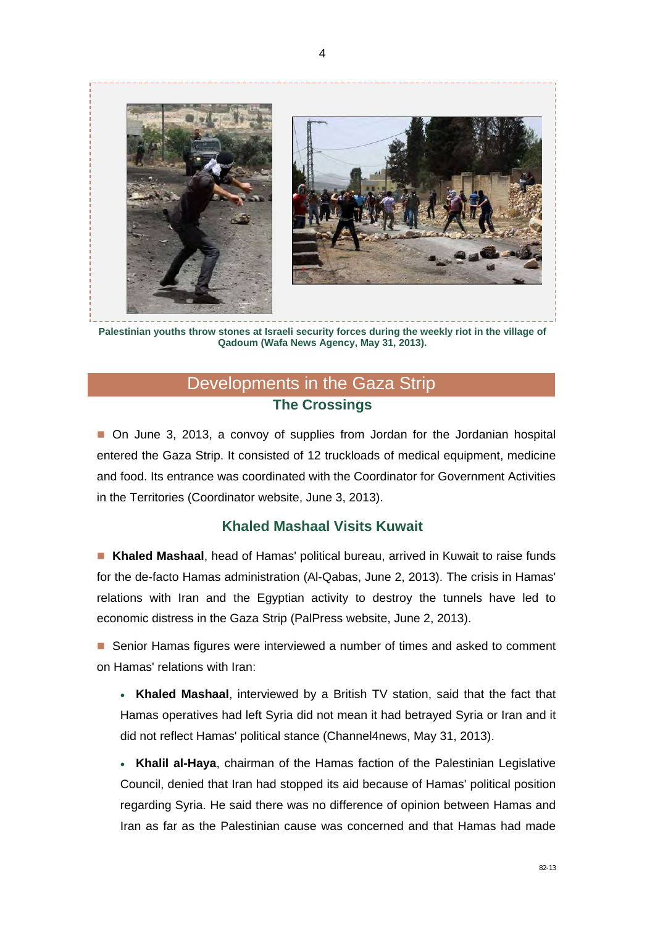

**Palestinian youths throw stones at Israeli security forces during the weekly riot in the village of Qadoum (Wafa News Agency, May 31, 2013).** 

## Developments in the Gaza Strip **The Crossings**

■ On June 3, 2013, a convoy of supplies from Jordan for the Jordanian hospital entered the Gaza Strip. It consisted of 12 truckloads of medical equipment, medicine and food. Its entrance was coordinated with the Coordinator for Government Activities in the Territories (Coordinator website, June 3, 2013).

#### **Khaled Mashaal Visits Kuwait**

 **Khaled Mashaal**, head of Hamas' political bureau, arrived in Kuwait to raise funds for the de-facto Hamas administration (Al-Qabas, June 2, 2013). The crisis in Hamas' relations with Iran and the Egyptian activity to destroy the tunnels have led to economic distress in the Gaza Strip (PalPress website, June 2, 2013).

**Senior Hamas figures were interviewed a number of times and asked to comment** on Hamas' relations with Iran:

 **Khaled Mashaal**, interviewed by a British TV station, said that the fact that Hamas operatives had left Syria did not mean it had betrayed Syria or Iran and it did not reflect Hamas' political stance (Channel4news, May 31, 2013).

 **Khalil al-Haya**, chairman of the Hamas faction of the Palestinian Legislative Council, denied that Iran had stopped its aid because of Hamas' political position regarding Syria. He said there was no difference of opinion between Hamas and Iran as far as the Palestinian cause was concerned and that Hamas had made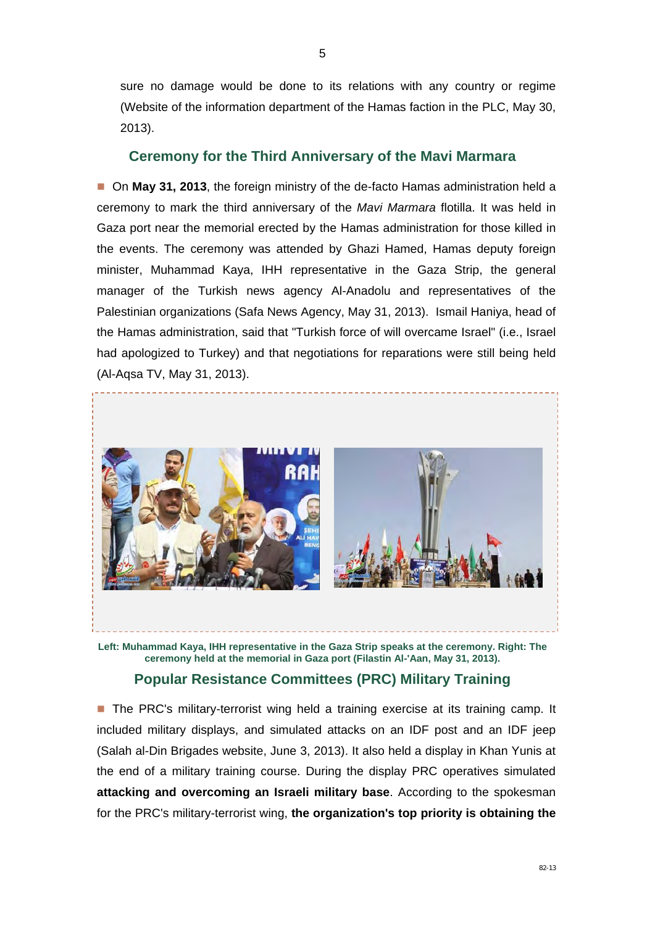sure no damage would be done to its relations with any country or regime (Website of the information department of the Hamas faction in the PLC, May 30, 2013).

#### **Ceremony for the Third Anniversary of the Mavi Marmara**

■ On May 31, 2013, the foreign ministry of the de-facto Hamas administration held a ceremony to mark the third anniversary of the *Mavi Marmara* flotilla. It was held in Gaza port near the memorial erected by the Hamas administration for those killed in the events. The ceremony was attended by Ghazi Hamed, Hamas deputy foreign minister, Muhammad Kaya, IHH representative in the Gaza Strip, the general manager of the Turkish news agency Al-Anadolu and representatives of the Palestinian organizations (Safa News Agency, May 31, 2013). Ismail Haniya, head of the Hamas administration, said that "Turkish force of will overcame Israel" (i.e., Israel had apologized to Turkey) and that negotiations for reparations were still being held (Al-Aqsa TV, May 31, 2013).



**Left: Muhammad Kaya, IHH representative in the Gaza Strip speaks at the ceremony. Right: The ceremony held at the memorial in Gaza port (Filastin Al-'Aan, May 31, 2013).** 

#### **Popular Resistance Committees (PRC) Military Training**

**The PRC's military-terrorist wing held a training exercise at its training camp. It** included military displays, and simulated attacks on an IDF post and an IDF jeep (Salah al-Din Brigades website, June 3, 2013). It also held a display in Khan Yunis at the end of a military training course. During the display PRC operatives simulated **attacking and overcoming an Israeli military base**. According to the spokesman for the PRC's military-terrorist wing, **the organization's top priority is obtaining the**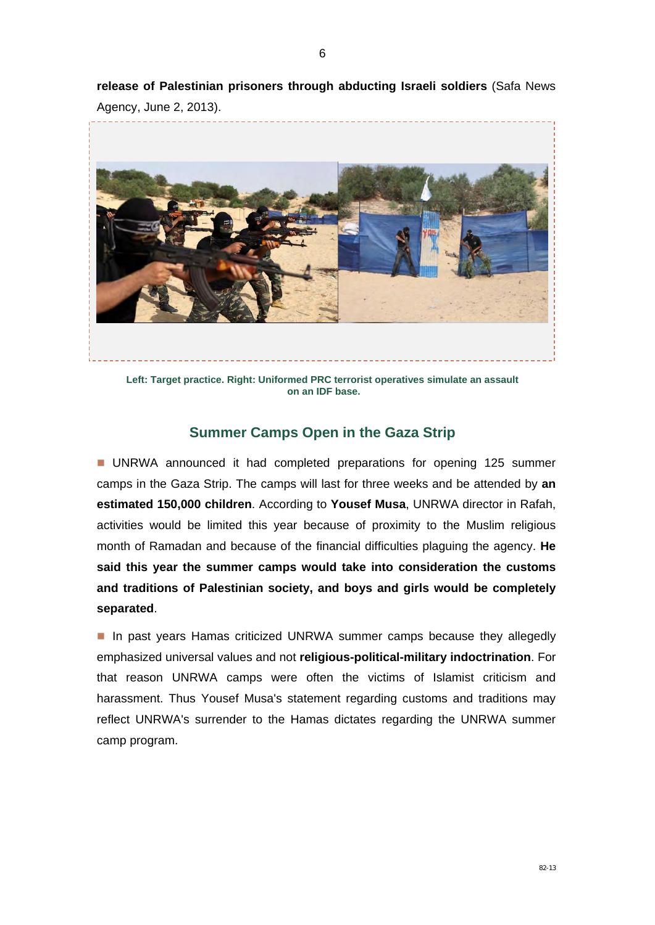**release of Palestinian prisoners through abducting Israeli soldiers** (Safa News Agency, June 2, 2013).



**Left: Target practice. Right: Uniformed PRC terrorist operatives simulate an assault on an IDF base.** 

#### **Summer Camps Open in the Gaza Strip**

**UNRWA** announced it had completed preparations for opening 125 summer camps in the Gaza Strip. The camps will last for three weeks and be attended by **an estimated 150,000 children**. According to **Yousef Musa**, UNRWA director in Rafah, activities would be limited this year because of proximity to the Muslim religious month of Ramadan and because of the financial difficulties plaguing the agency. **He said this year the summer camps would take into consideration the customs and traditions of Palestinian society, and boys and girls would be completely separated**.

In past years Hamas criticized UNRWA summer camps because they allegedly emphasized universal values and not **religious-political-military indoctrination**. For that reason UNRWA camps were often the victims of Islamist criticism and harassment. Thus Yousef Musa's statement regarding customs and traditions may reflect UNRWA's surrender to the Hamas dictates regarding the UNRWA summer camp program.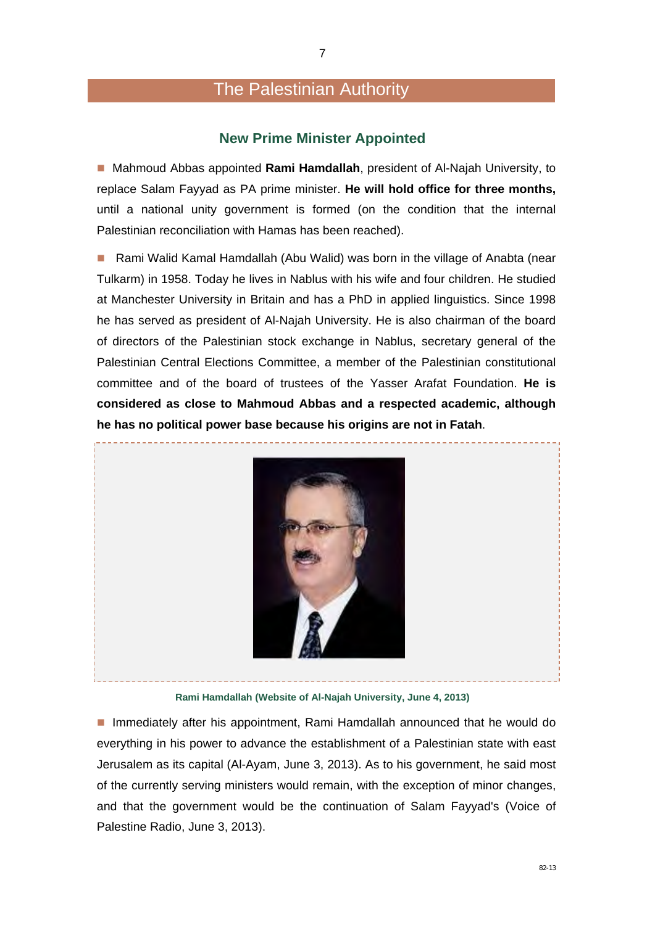## The Palestinian Authority

#### **New Prime Minister Appointed**

 Mahmoud Abbas appointed **Rami Hamdallah**, president of Al-Najah University, to replace Salam Fayyad as PA prime minister. **He will hold office for three months,**  until a national unity government is formed (on the condition that the internal Palestinian reconciliation with Hamas has been reached).

■ Rami Walid Kamal Hamdallah (Abu Walid) was born in the village of Anabta (near Tulkarm) in 1958. Today he lives in Nablus with his wife and four children. He studied at Manchester University in Britain and has a PhD in applied linguistics. Since 1998 he has served as president of Al-Najah University. He is also chairman of the board of directors of the Palestinian stock exchange in Nablus, secretary general of the Palestinian Central Elections Committee, a member of the Palestinian constitutional committee and of the board of trustees of the Yasser Arafat Foundation. **He is considered as close to Mahmoud Abbas and a respected academic, although he has no political power base because his origins are not in Fatah**.



**Rami Hamdallah (Website of Al-Najah University, June 4, 2013)** 

**Immediately after his appointment, Rami Hamdallah announced that he would do** everything in his power to advance the establishment of a Palestinian state with east Jerusalem as its capital (Al-Ayam, June 3, 2013). As to his government, he said most of the currently serving ministers would remain, with the exception of minor changes, and that the government would be the continuation of Salam Fayyad's (Voice of Palestine Radio, June 3, 2013).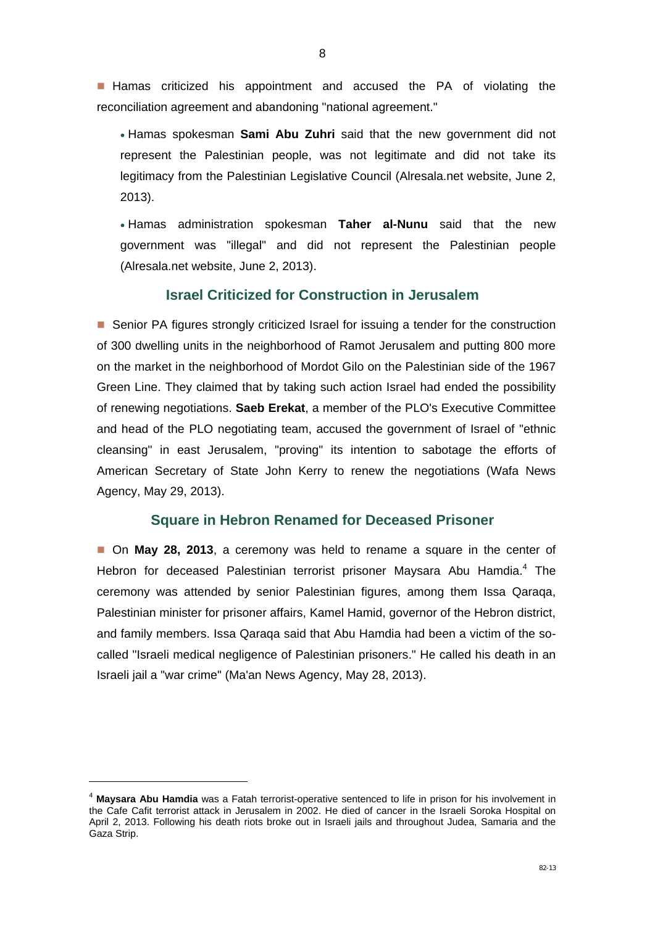**Hamas** criticized his appointment and accused the PA of violating the reconciliation agreement and abandoning "national agreement."

 Hamas spokesman **Sami Abu Zuhri** said that the new government did not represent the Palestinian people, was not legitimate and did not take its legitimacy from the Palestinian Legislative Council (Alresala.net website, June 2, 2013).

 Hamas administration spokesman **Taher al-Nunu** said that the new government was "illegal" and did not represent the Palestinian people (Alresala.net website, June 2, 2013).

#### **Israel Criticized for Construction in Jerusalem**

■ Senior PA figures strongly criticized Israel for issuing a tender for the construction of 300 dwelling units in the neighborhood of Ramot Jerusalem and putting 800 more on the market in the neighborhood of Mordot Gilo on the Palestinian side of the 1967 Green Line. They claimed that by taking such action Israel had ended the possibility of renewing negotiations. **Saeb Erekat**, a member of the PLO's Executive Committee and head of the PLO negotiating team, accused the government of Israel of "ethnic cleansing" in east Jerusalem, "proving" its intention to sabotage the efforts of American Secretary of State John Kerry to renew the negotiations (Wafa News Agency, May 29, 2013).

#### **Square in Hebron Renamed for Deceased Prisoner**

 On **May 28, 2013**, a ceremony was held to rename a square in the center of Hebron for deceased Palestinian terrorist prisoner Maysara Abu Hamdia.<sup>4</sup> The ceremony was attended by senior Palestinian figures, among them Issa Qaraqa, Palestinian minister for prisoner affairs, Kamel Hamid, governor of the Hebron district, and family members. Issa Qaraqa said that Abu Hamdia had been a victim of the socalled "Israeli medical negligence of Palestinian prisoners." He called his death in an Israeli jail a "war crime" (Ma'an News Agency, May 28, 2013).

-

<sup>4</sup> **Maysara Abu Hamdia** was a Fatah terrorist-operative sentenced to life in prison for his involvement in the Cafe Cafit terrorist attack in Jerusalem in 2002. He died of cancer in the Israeli Soroka Hospital on April 2, 2013. Following his death riots broke out in Israeli jails and throughout Judea, Samaria and the Gaza Strip.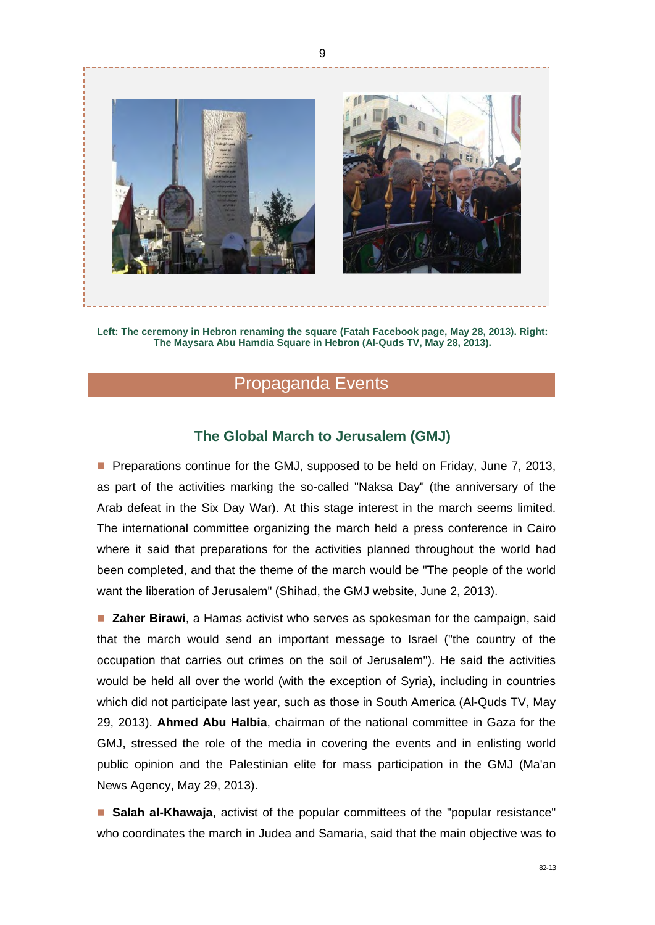

**Left: The ceremony in Hebron renaming the square (Fatah Facebook page, May 28, 2013). Right: The Maysara Abu Hamdia Square in Hebron (Al-Quds TV, May 28, 2013).** 

## Propaganda Events

#### **The Global March to Jerusalem (GMJ)**

**Preparations continue for the GMJ, supposed to be held on Friday, June 7, 2013,** as part of the activities marking the so-called "Naksa Day" (the anniversary of the Arab defeat in the Six Day War). At this stage interest in the march seems limited. The international committee organizing the march held a press conference in Cairo where it said that preparations for the activities planned throughout the world had been completed, and that the theme of the march would be "The people of the world want the liberation of Jerusalem" (Shihad, the GMJ website, June 2, 2013).

**Zaher Birawi**, a Hamas activist who serves as spokesman for the campaign, said that the march would send an important message to Israel ("the country of the occupation that carries out crimes on the soil of Jerusalem"). He said the activities would be held all over the world (with the exception of Syria), including in countries which did not participate last year, such as those in South America (Al-Quds TV, May 29, 2013). **Ahmed Abu Halbia**, chairman of the national committee in Gaza for the GMJ, stressed the role of the media in covering the events and in enlisting world public opinion and the Palestinian elite for mass participation in the GMJ (Ma'an News Agency, May 29, 2013).

**Salah al-Khawaja**, activist of the popular committees of the "popular resistance" who coordinates the march in Judea and Samaria, said that the main objective was to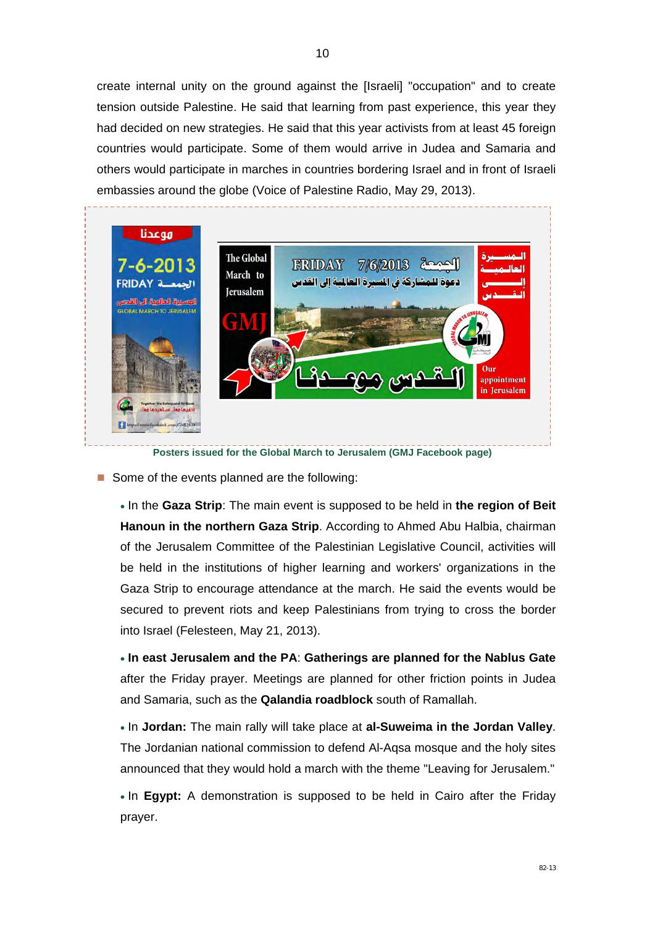create internal unity on the ground against the [Israeli] "occupation" and to create tension outside Palestine. He said that learning from past experience, this year they had decided on new strategies. He said that this year activists from at least 45 foreign countries would participate. Some of them would arrive in Judea and Samaria and others would participate in marches in countries bordering Israel and in front of Israeli embassies around the globe (Voice of Palestine Radio, May 29, 2013).



**Posters issued for the Global March to Jerusalem (GMJ Facebook page)** 

Some of the events planned are the following:

 In the **Gaza Strip**: The main event is supposed to be held in **the region of Beit Hanoun in the northern Gaza Strip**. According to Ahmed Abu Halbia, chairman of the Jerusalem Committee of the Palestinian Legislative Council, activities will be held in the institutions of higher learning and workers' organizations in the Gaza Strip to encourage attendance at the march. He said the events would be secured to prevent riots and keep Palestinians from trying to cross the border into Israel (Felesteen, May 21, 2013).

 **In east Jerusalem and the PA**: **Gatherings are planned for the Nablus Gate** after the Friday prayer. Meetings are planned for other friction points in Judea and Samaria, such as the **Qalandia roadblock** south of Ramallah.

 In **Jordan:** The main rally will take place at **al-Suweima in the Jordan Valley**. The Jordanian national commission to defend Al-Aqsa mosque and the holy sites announced that they would hold a march with the theme "Leaving for Jerusalem."

• In **Egypt:** A demonstration is supposed to be held in Cairo after the Friday prayer.